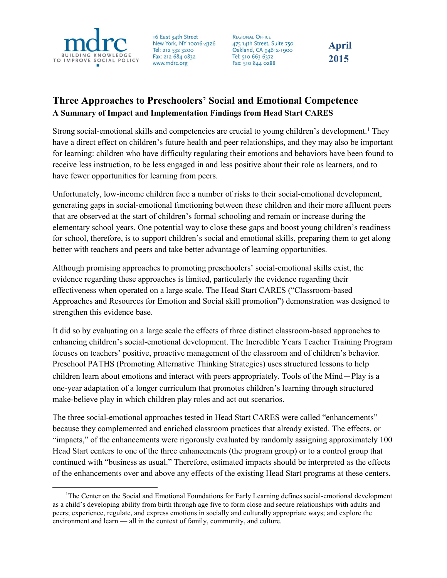

16 East 34th Street New York, NY 10016-4326 Tel: 212 532 3200 Fax: 212 684 0832 www.mdrc.org

**REGIONAL OFFICE** 475 14th Street, Suite 750 Oakland, CA 94612-1900 Tel: 510 663 6372 Fax: 510 844 0288

## **April 2015**

## **Three Approaches to Preschoolers' Social and Emotional Competence A Summary of Impact and Implementation Findings from Head Start CARES**

Strong social-emotional skills and competencies are crucial to young children's development.<sup>[1](#page-0-0)</sup> They have a direct effect on children's future health and peer relationships, and they may also be important for learning: children who have difficulty regulating their emotions and behaviors have been found to receive less instruction, to be less engaged in and less positive about their role as learners, and to have fewer opportunities for learning from peers.

Unfortunately, low-income children face a number of risks to their social-emotional development, generating gaps in social-emotional functioning between these children and their more affluent peers that are observed at the start of children's formal schooling and remain or increase during the elementary school years. One potential way to close these gaps and boost young children's readiness for school, therefore, is to support children's social and emotional skills, preparing them to get along better with teachers and peers and take better advantage of learning opportunities.

Although promising approaches to promoting preschoolers' social-emotional skills exist, the evidence regarding these approaches is limited, particularly the evidence regarding their effectiveness when operated on a large scale. The Head Start CARES ("Classroom-based Approaches and Resources for Emotion and Social skill promotion") demonstration was designed to strengthen this evidence base.

It did so by evaluating on a large scale the effects of three distinct classroom-based approaches to enhancing children's social-emotional development. The Incredible Years Teacher Training Program focuses on teachers' positive, proactive management of the classroom and of children's behavior. Preschool PATHS (Promoting Alternative Thinking Strategies) uses structured lessons to help children learn about emotions and interact with peers appropriately. Tools of the Mind—Play is a one-year adaptation of a longer curriculum that promotes children's learning through structured make-believe play in which children play roles and act out scenarios.

The three social-emotional approaches tested in Head Start CARES were called "enhancements" because they complemented and enriched classroom practices that already existed. The effects, or "impacts," of the enhancements were rigorously evaluated by randomly assigning approximately 100 Head Start centers to one of the three enhancements (the program group) or to a control group that continued with "business as usual." Therefore, estimated impacts should be interpreted as the effects of the enhancements over and above any effects of the existing Head Start programs at these centers.

<span id="page-0-0"></span> <sup>1</sup> <sup>1</sup>The Center on the Social and Emotional Foundations for Early Learning defines social-emotional development as a child's developing ability from birth through age five to form close and secure relationships with adults and peers; experience, regulate, and express emotions in socially and culturally appropriate ways; and explore the environment and learn — all in the context of family, community, and culture.